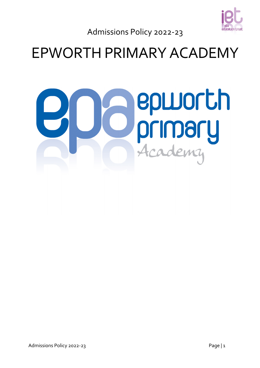

Admissions Policy 2022-23

# EPWORTH PRIMARY ACADEMY

# **epworth**<br>primary<br>Academy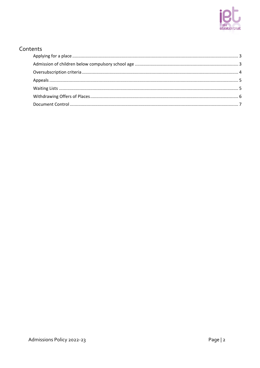

# Contents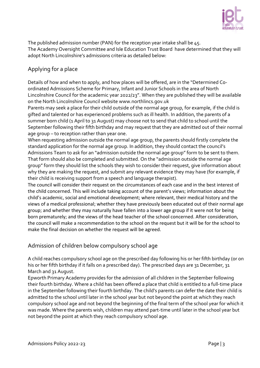

The published admission number (PAN) for the reception year intake shall be 45. The Academy Oversight Committee and Isle Education Trust Board have determined that they will adopt North Lincolnshire's admissions criteria as detailed below:

# <span id="page-2-0"></span>Applying for a place

Details of how and when to apply, and how places will be offered, are in the "Determined Coordinated Admissions Scheme for Primary, Infant and Junior Schools in the area of North Lincolnshire Council for the academic year 2022/23". When they are published they will be available on the North Lincolnshire Council website www.northlincs.gov.uk

Parents may seek a place for their child outside of the normal age group, for example, if the child is gifted and talented or has experienced problems such as ill health. In addition, the parents of a summer born child (1 April to 31 August) may choose not to send that child to school until the September following their fifth birthday and may request that they are admitted out of their normal age group – to reception rather than year one.

When requesting admission outside the normal age group, the parents should firstly complete the standard application for the normal age group. In addition, they should contact the council's Admissions Team to ask for an "admission outside the normal age group" form to be sent to them. That form should also be completed and submitted. On the "admission outside the normal age group" form they should list the schools they wish to consider their request, give information about why they are making the request, and submit any relevant evidence they may have (for example, if their child is receiving support from a speech and language therapist).

The council will consider their request on the circumstances of each case and in the best interest of the child concerned. This will include taking account of the parent's views; information about the child's academic, social and emotional development; where relevant, their medical history and the views of a medical professional; whether they have previously been educated out of their normal age group; and whether they may naturally have fallen into a lower age group if it were not for being born prematurely; and the views of the head teacher of the school concerned. After consideration, the council will make a recommendation to the school on the request but it will be for the school to make the final decision on whether the request will be agreed.

# <span id="page-2-1"></span>Admission of children below compulsory school age

A child reaches compulsory school age on the prescribed day following his or her fifth birthday (or on his or her fifth birthday if it falls on a prescribed day). The prescribed days are 31 December, 31 March and 31 August.

Epworth Primary Academy provides for the admission of all children in the September following their fourth birthday. Where a child has been offered a place that child is entitled to a full-time place in the September following their fourth birthday. The child's parents can defer the date their child is admitted to the school until later in the school year but not beyond the point at which they reach compulsory school age and not beyond the beginning of the final term of the school year for which it was made. Where the parents wish, children may attend part-time until later in the school year but not beyond the point at which they reach compulsory school age.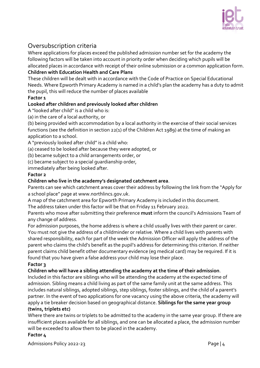

# <span id="page-3-0"></span>Oversubscription criteria

Where applications for places exceed the published admission number set for the academy the following factors will be taken into account in priority order when deciding which pupils will be allocated places in accordance with receipt of their online submission or a common application form.

#### **Children with Education Health and Care Plans**

These children will be dealt with in accordance with the Code of Practice on Special Educational Needs. Where Epworth Primary Academy is named in a child's plan the academy has a duty to admit the pupil, this will reduce the number of places available

#### **Factor 1**

#### **Looked after children and previously looked after children**

A "looked after child" is a child who is:

(a) in the care of a local authority, or

(b) being provided with accommodation by a local authority in the exercise of their social services functions (see the definition in section 22(1) of the Children Act 1989) at the time of making an application to a school.

A "previously looked after child" is a child who:

(a) ceased to be looked after because they were adopted, or

(b) became subject to a child arrangements order, or

(c) became subject to a special guardianship order,

immediately after being looked after.

#### **Factor 2**

#### **Children who live in the academy's designated catchment area**.

Parents can see which catchment areas cover their address by following the link from the "Apply for a school place" page at www.northlincs.gov.uk.

A map of the catchment area for Epworth Primary Academy is included in this document.

The address taken under this factor will be that on Friday 11 February 2022.

Parents who move after submitting their preference **must** inform the council's Admissions Team of any change of address.

For admission purposes, the home address is where a child usually lives with their parent or carer. You must not give the address of a childminder or relative. Where a child lives with parents with shared responsibility, each for part of the week the Admission Officer will apply the address of the parent who claims the child's benefit as the pupil's address for determining this criterion. If neither parent claims child benefit other documentary evidence (eg medical card) may be required. If it is found that you have given a false address your child may lose their place.

#### **Factor 3**

**Children who will have a sibling attending the academy at the time of their admission**.

Included in this factor are siblings who will be attending the academy at the expected time of admission. Sibling means a child living as part of the same family unit at the same address. This includes natural siblings, adopted siblings, step siblings, foster siblings, and the child of a parent's partner. In the event of two applications for one vacancy using the above criteria, the academy will apply a tie breaker decision based on geographical distance. **Siblings for the same year group (twins, triplets etc)** 

Where there are twins or triplets to be admitted to the academy in the same year group. If there are insufficient places available for all siblings, and one can be allocated a place, the admission number will be exceeded to allow them to be placed in the academy.

#### **Factor 4**

Admissions Policy 2022-23 **Page 14**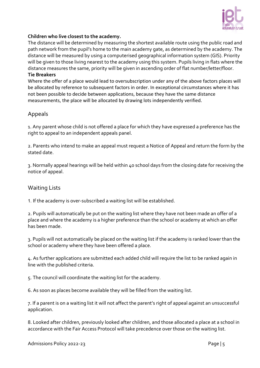

#### **Children who live closest to the academy.**

The distance will be determined by measuring the shortest available route using the public road and path network from the pupil's home to the main academy gate, as determined by the academy. The distance will be measured by using a computerised geographical information system (GIS). Priority will be given to those living nearest to the academy using this system. Pupils living in flats where the distance measures the same, priority will be given in ascending order of flat number/letter/floor. **Tie Breakers** 

Where the offer of a place would lead to oversubscription under any of the above factors places will be allocated by reference to subsequent factors in order. In exceptional circumstances where it has not been possible to decide between applications, because they have the same distance measurements, the place will be allocated by drawing lots independently verified.

#### <span id="page-4-0"></span>Appeals

1. Any parent whose child is not offered a place for which they have expressed a preference has the right to appeal to an independent appeals panel.

2. Parents who intend to make an appeal must request a Notice of Appeal and return the form by the stated date.

3. Normally appeal hearings will be held within 40 school days from the closing date for receiving the notice of appeal.

#### <span id="page-4-1"></span>Waiting Lists

1. If the academy is over-subscribed a waiting list will be established.

2. Pupils will automatically be put on the waiting list where they have not been made an offer of a place and where the academy is a higher preference than the school or academy at which an offer has been made.

3. Pupils will not automatically be placed on the waiting list if the academy is ranked lower than the school or academy where they have been offered a place.

4. As further applications are submitted each added child will require the list to be ranked again in line with the published criteria.

5. The council will coordinate the waiting list for the academy.

6. As soon as places become available they will be filled from the waiting list.

7. If a parent is on a waiting list it will not affect the parent's right of appeal against an unsuccessful application.

8. Looked after children, previously looked after children, and those allocated a place at a school in accordance with the Fair Access Protocol will take precedence over those on the waiting list.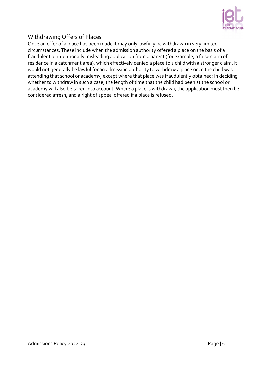

### <span id="page-5-0"></span>Withdrawing Offers of Places

Once an offer of a place has been made it may only lawfully be withdrawn in very limited circumstances. These include when the admission authority offered a place on the basis of a fraudulent or intentionally misleading application from a parent (for example, a false claim of residence in a catchment area), which effectively denied a place to a child with a stronger claim. It would not generally be lawful for an admission authority to withdraw a place once the child was attending that school or academy, except where that place was fraudulently obtained; in deciding whether to withdraw in such a case, the length of time that the child had been at the school or academy will also be taken into account. Where a place is withdrawn, the application must then be considered afresh, and a right of appeal offered if a place is refused.